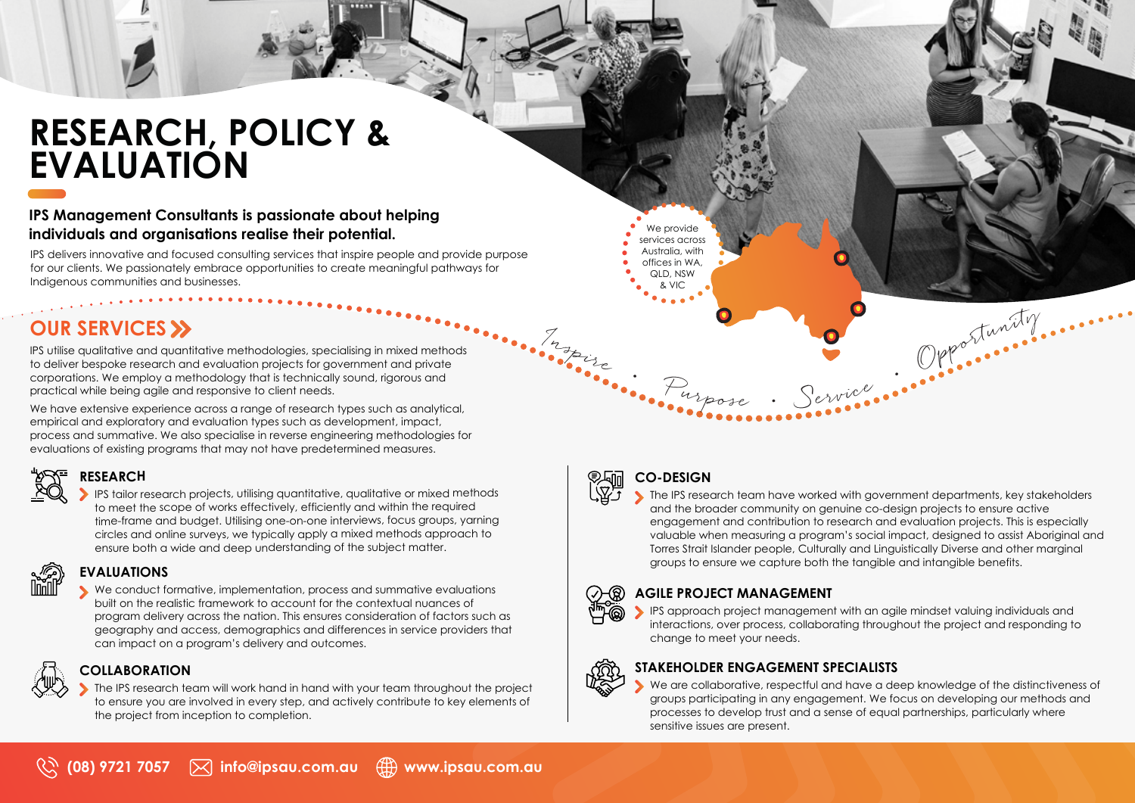# **RESEARCH, POLICY & EVALUATION**

### **IPS Management Consultants is passionate about helping individuals and organisations realise their potential.**

IPS delivers innovative and focused consulting services that inspire people and provide purpose for our clients. We passionately embrace opportunities to create meaningful pathways for Indigenous communities and businesses.

# **OUR SERVICES >>**

IPS utilise qualitative and quantitative methodologies, specialising in mixed methods to deliver bespoke research and evaluation projects for government and private corporations. We employ a methodology that is technically sound, rigorous and practical while being agile and responsive to client needs.

We have extensive experience across a range of research types such as analytical, empirical and exploratory and evaluation types such as development, impact, process and summative. We also specialise in reverse engineering methodologies for evaluations of existing programs that may not have predetermined measures.

**RESEARCH** 

IPS tailor research projects, utilising quantitative, qualitative or mixed methods to meet the scope of works effectively, efficiently and within the required time-frame and budget. Utilising one-on-one interviews, focus groups, yarning circles and online surveys, we typically apply a mixed methods approach to ensure both a wide and deep understanding of the subject matter.

# **EVALUATIONS**

We conduct formative, implementation, process and summative evaluations built on the realistic framework to account for the contextual nuances of program delivery across the nation. This ensures consideration of factors such as geography and access, demographics and differences in service providers that can impact on a program's delivery and outcomes.

# **COLLABORATION**

The IPS research team will work hand in hand with your team throughout the project to ensure you are involved in every step, and actively contribute to key elements of the project from inception to completion.



•

Ingrise

# **CO-DESIGN**

We provide services across Australia, with offices in WA, QLD, NSW & VIC

**The IPS research team have worked with government departments, key stakeholders** and the broader community on genuine co-design projects to ensure active engagement and contribution to research and evaluation projects. This is especially valuable when measuring a program's social impact, designed to assist Aboriginal and Torres Strait Islander people, Culturally and Linguistically Diverse and other marginal groups to ensure we capture both the tangible and intangible benefits.

Purpose • Service • • Opportunity • • • •

## **AGILE PROJECT MANAGEMENT**

IPS approach project management with an agile mindset valuing individuals and interactions, over process, collaborating throughout the project and responding to change to meet your needs.

## **STAKEHOLDER ENGAGEMENT SPECIALISTS**

We are collaborative, respectful and have a deep knowledge of the distinctiveness of groups participating in any engagement. We focus on developing our methods and processes to develop trust and a sense of equal partnerships, particularly where sensitive issues are present.